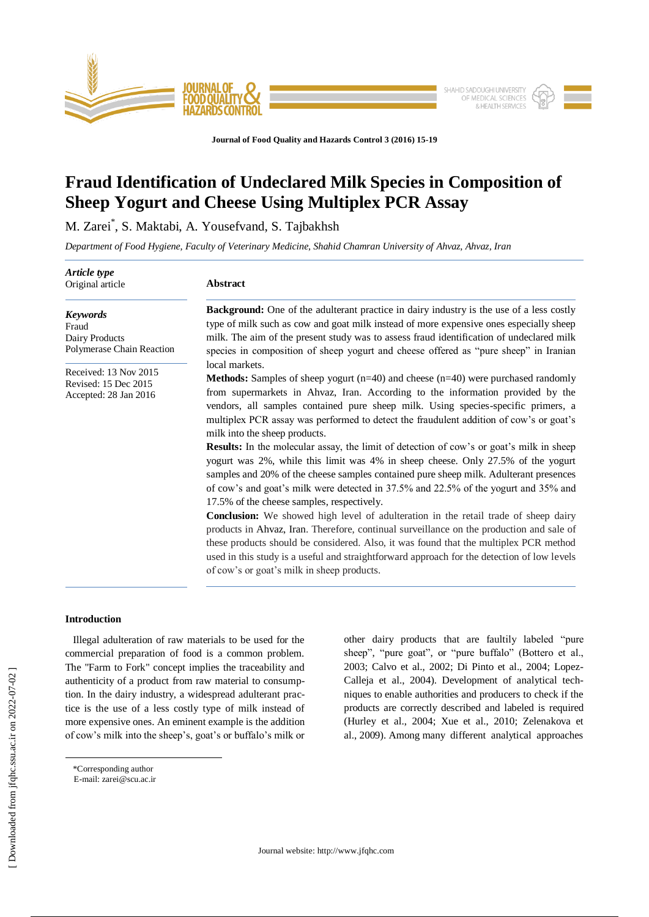

**Journal of Food Quality and Hazards Control 3 (2016) 15-19**

# **Fraud Identification of Undeclared Milk Species in Composition of Sheep Yogurt and Cheese Using Multiplex PCR Assay**

M. Zarei\* , S. Maktabi, A. Yousefvand, S. Tajbakhsh

*Department of Food Hygiene, Faculty of Veterinary Medicine, Shahid Chamran University of Ahvaz, Ahvaz, Iran* 

*Article type* Original article

*Keywords* [Fraud](http://jfqhc.ssu.ac.ir/search.php?slc_lang=en&sid=1&key=Fraud) Dairy Products

# **Abstract**

**Background:** One of the adulterant practice in dairy industry is the use of a less costly type of milk such as cow and goat milk instead of more expensive ones especially sheep milk. The aim of the present study was to assess fraud identification of undeclared milk species in composition of sheep yogurt and cheese offered as "pure sheep" in Iranian local markets.

**Methods:** Samples of sheep yogurt (n=40) and cheese (n=40) were purchased randomly from supermarkets in Ahvaz, Iran. According to the information provided by the

# Received: 13 Nov 2015 Revised: 15 Dec 2015 Accepted: 28 Jan 2016

[Polymerase Chain Reaction](http://jfqhc.ssu.ac.ir/search.php?slc_lang=en&sid=1&key=Polymerase+Chain+Reaction)

vendors, all samples contained pure sheep milk. Using species-specific primers, a multiplex PCR assay was performed to detect the fraudulent addition of cow's or goat's milk into the sheep products. **Results:** In the molecular assay, the limit of detection of cow's or goat's milk in sheep yogurt was 2%, while this limit was 4% in sheep cheese. Only 27.5% of the yogurt samples and 20% of the cheese samples contained pure sheep milk. Adulterant presences of cow's and goat's milk were detected in 37.5% and 22.5% of the yogurt and 35% and 17.5% of the cheese samples, respectively. **Conclusion:** We showed high level of adulteration in the retail trade of sheep dairy products in Ahvaz, Iran. Therefore, continual surveillance on the production and sale of these products should be considered. Also, it was found that the multiplex PCR method used in this study is a useful and straightforward approach for the detection of low levels

of cow's or goat's milk in sheep products.

## **Introduction**

 Illegal adulteration of raw materials to be used for the commercial preparation of food is a common problem. The "Farm to Fork" concept implies the traceability and authenticity of a product from raw material to consumption. In the dairy industry, a widespread adulterant practice is the use of a less costly type of milk instead of more expensive ones. An eminent example is the addition of cow's milk into the sheep's, goat's or buffalo's milk or other dairy products that are faultily labeled "pure sheep", "pure goat", or "pure buffalo" (Bottero et al., 2003; Calvo et al., 2002; Di Pinto et al., 2004; Lopez-Calleja et al., 2004). Development of analytical techniques to enable authorities and producers to check if the products are correctly described and labeled is required (Hurley et al., 2004; Xue et al., 2010; Zelenakova et al., 2009). Among many different analytical approaches

 $\overline{a}$ 

<sup>\*</sup>Corresponding author

E-mail: [zarei@scu.ac.ir](mailto:zarei@scu.ac.ir)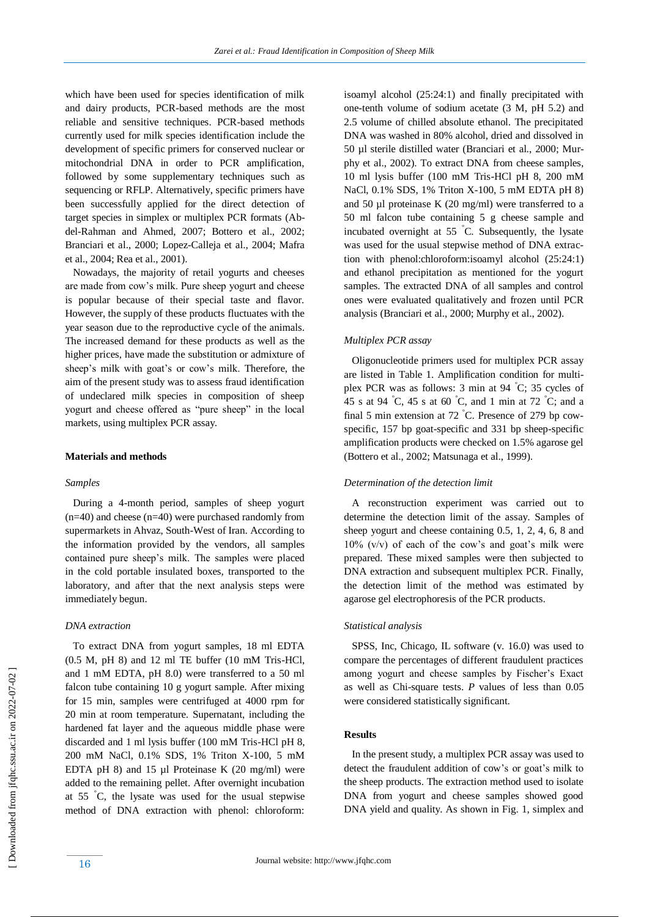which have been used for species identification of milk and dairy products, PCR-based methods are the most reliable and sensitive techniques. PCR-based methods currently used for milk species identification include the development of specific primers for conserved nuclear or mitochondrial DNA in order to PCR amplification, followed by some supplementary techniques such as sequencing or RFLP. Alternatively, specific primers have been successfully applied for the direct detection of target species in simplex or multiplex PCR formats (Abdel-Rahman and Ahmed, 2007; Bottero et al., 2002; Branciari et al., 2000; Lopez-Calleja et al., 2004; Mafra et al., 2004; Rea et al., 2001).

 Nowadays, the majority of retail yogurts and cheeses are made from cow's milk. Pure sheep yogurt and cheese is popular because of their special taste and flavor. However, the supply of these products fluctuates with the year season due to the reproductive cycle of the animals. The increased demand for these products as well as the higher prices, have made the substitution or admixture of sheep's milk with goat's or cow's milk. Therefore, the aim of the present study was to assess fraud identification of undeclared milk species in composition of sheep yogurt and cheese offered as "pure sheep" in the local markets, using multiplex PCR assay.

#### **Materials and methods**

#### *Samples*

 During a 4-month period, samples of sheep yogurt (n=40) and cheese (n=40) were purchased randomly from supermarkets in Ahvaz, South-West of Iran. According to the information provided by the vendors, all samples contained pure sheep's milk. The samples were placed in the cold portable insulated boxes, transported to the laboratory, and after that the next analysis steps were immediately begun.

#### *DNA extraction*

 To extract DNA from yogurt samples, 18 ml EDTA (0.5 M, pH 8) and 12 ml TE buffer (10 mM Tris-HCl, and 1 mM EDTA, pH 8.0) were transferred to a 50 ml falcon tube containing 10 g yogurt sample. After mixing for 15 min, samples were centrifuged at 4000 rpm for 20 min at room temperature. Supernatant, including the hardened fat layer and the aqueous middle phase were discarded and 1 ml lysis buffer (100 mM Tris-HCl pH 8, 200 mM NaCl, 0.1% SDS, 1% Triton X-100, 5 mM EDTA pH 8) and 15  $\mu$ l Proteinase K (20 mg/ml) were added to the remaining pellet. After overnight incubation at 55 °C, the lysate was used for the usual stepwise method of DNA extraction with phenol: chloroform: isoamyl alcohol (25:24:1) and finally precipitated with one-tenth volume of sodium acetate (3 M, pH 5.2) and 2.5 volume of chilled absolute ethanol. The precipitated DNA was washed in 80% alcohol, dried and dissolved in 50 µl sterile distilled water (Branciari et al., 2000; Murphy et al., 2002). To extract DNA from cheese samples, 10 ml lysis buffer (100 mM Tris-HCl pH 8, 200 mM NaCl, 0.1% SDS, 1% Triton X-100, 5 mM EDTA pH 8) and 50  $\mu$ l proteinase K (20 mg/ml) were transferred to a 50 ml falcon tube containing 5 g cheese sample and incubated overnight at 55 °C. Subsequently, the lysate was used for the usual stepwise method of DNA extraction with phenol:chloroform:isoamyl alcohol (25:24:1) and ethanol precipitation as mentioned for the yogurt samples. The extracted DNA of all samples and control ones were evaluated qualitatively and frozen until PCR analysis (Branciari et al., 2000; Murphy et al., 2002).

#### *Multiplex PCR assay*

 Oligonucleotide primers used for multiplex PCR assay are listed in Table 1. Amplification condition for multiplex PCR was as follows: 3 min at 94 °C; 35 cycles of 45 s at 94 °C, 45 s at 60 °C, and 1 min at 72 °C; and a final 5 min extension at 72 °C. Presence of 279 bp cowspecific, 157 bp goat-specific and 331 bp sheep-specific amplification products were checked on 1.5% agarose gel (Bottero et al., 2002; Matsunaga et al., 1999).

#### *Determination of the detection limit*

 A reconstruction experiment was carried out to determine the detection limit of the assay. Samples of sheep yogurt and cheese containing 0.5, 1, 2, 4, 6, 8 and  $10\%$  (v/v) of each of the cow's and goat's milk were prepared. These mixed samples were then subjected to DNA extraction and subsequent multiplex PCR. Finally, the detection limit of the method was estimated by agarose gel electrophoresis of the PCR products.

#### *Statistical analysis*

 SPSS, Inc, Chicago, IL software (v. 16.0) was used to compare the percentages of different fraudulent practices among yogurt and cheese samples by Fischer's Exact as well as Chi-square tests. *P* values of less than 0.05 were considered statistically significant.

# **Results**

 In the present study, a multiplex PCR assay was used to detect the fraudulent addition of cow's or goat's milk to the sheep products. The extraction method used to isolate DNA from yogurt and cheese samples showed good DNA yield and quality. As shown in Fig. 1, simplex and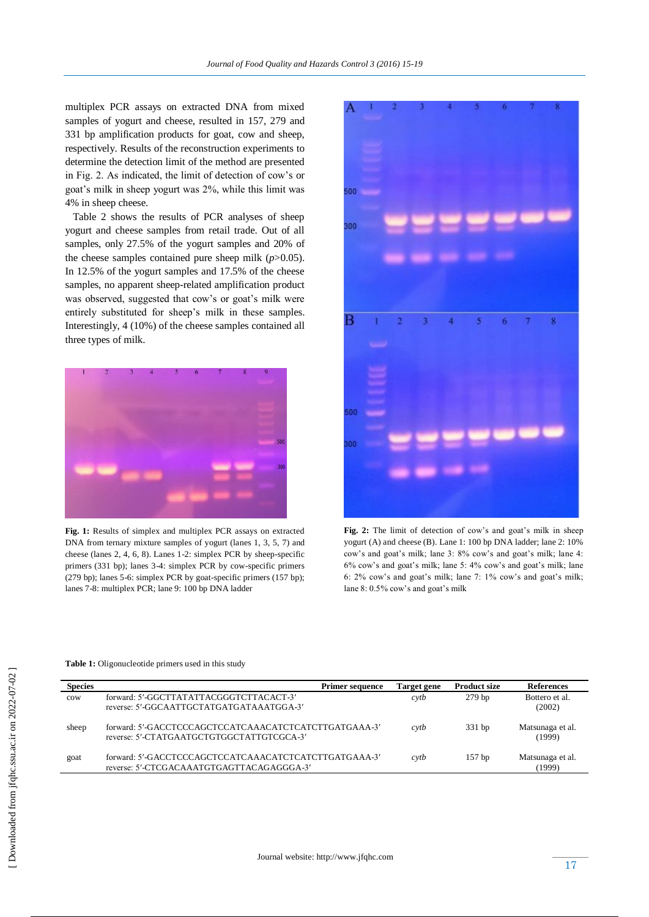multiplex PCR assays on extracted DNA from mixed samples of yogurt and cheese, resulted in 157, 279 and 331 bp amplification products for goat, cow and sheep, respectively. Results of the reconstruction experiments to determine the detection limit of the method are presented in Fig. 2. As indicated, the limit of detection of cow's or goat's milk in sheep yogurt was 2%, while this limit was 4% in sheep cheese.

 Table 2 shows the results of PCR analyses of sheep yogurt and cheese samples from retail trade. Out of all samples, only 27.5% of the yogurt samples and 20% of the cheese samples contained pure sheep milk (*p*>0.05). In 12.5% of the yogurt samples and 17.5% of the cheese samples, no apparent sheep-related amplification product was observed, suggested that cow's or goat's milk were entirely substituted for sheep's milk in these samples. Interestingly, 4 (10%) of the cheese samples contained all three types of milk.



**Fig. 1:** Results of simplex and multiplex PCR assays on extracted DNA from ternary mixture samples of yogurt (lanes 1, 3, 5, 7) and cheese (lanes 2, 4, 6, 8). Lanes 1-2: simplex PCR by sheep-specific primers (331 bp); lanes 3-4: simplex PCR by cow-specific primers (279 bp); lanes 5-6: simplex PCR by goat-specific primers (157 bp); lanes 7-8: multiplex PCR; lane 9: 100 bp DNA ladder



**Fig. 2:** The limit of detection of cow's and goat's milk in sheep yogurt (A) and cheese (B). Lane 1: 100 bp DNA ladder; lane 2: 10% cow's and goat's milk; lane 3: 8% cow's and goat's milk; lane 4: 6% cow's and goat's milk; lane 5: 4% cow's and goat's milk; lane 6: 2% cow's and goat's milk; lane 7: 1% cow's and goat's milk; lane 8: 0.5% cow's and goat's milk

| Species         |                                                                                                    | <b>Primer sequence</b> | Target gene | <b>Product size</b> | <b>References</b>          |
|-----------------|----------------------------------------------------------------------------------------------------|------------------------|-------------|---------------------|----------------------------|
| $_{\text{row}}$ | forward: 5'-GGCTTATATTACGGGTCTTACACT-3'<br>reverse: 5'-GGCAATTGCTATGATGATAAATGGA-3'                |                        | cyth        | 279 <sub>bp</sub>   | Bottero et al.<br>(2002)   |
| sheep           | forward: 5'-GACCTCCCAGCTCCATCAAACATCTCATCTTGATGAAA-3'<br>reverse: 5'-CTATGAATGCTGTGGCTATTGTCGCA-3' |                        | cvtb        | 331bp               | Matsunaga et al.<br>(1999) |
| goat            | forward: 5'-GACCTCCCAGCTCCATCAAACATCTCATCTTGATGAAA-3'<br>reverse: 5'-CTCGACAAATGTGAGTTACAGAGGGA-3' |                        | cyth        | $157$ bp            | Matsunaga et al.<br>(1999) |

**Table 1:** Oligonucleotide primers used in this study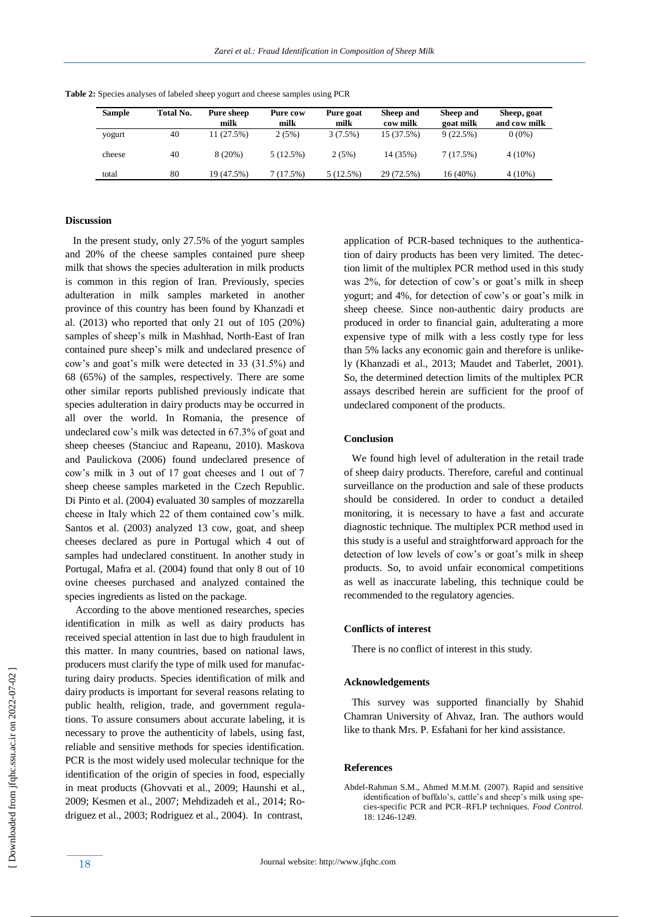| Sample | Total No. | Pure sheep | Pure cow  | Pure goat | Sheep and  | Sheep and | Sheep, goat  |
|--------|-----------|------------|-----------|-----------|------------|-----------|--------------|
|        |           | milk       | milk      | milk      | cow milk   | goat milk | and cow milk |
| yogurt | 40        | 11(27.5%)  | 2(5%)     | 3(7.5%)   | 15 (37.5%) | 9(22.5%)  | $0(0\%)$     |
| cheese | 40        | 8(20%)     | 5 (12.5%) | 2(5%)     | 14 (35%)   | 7(17.5%)  | $4(10\%)$    |
| total  | 80        | 19 (47.5%) | 7 (17.5%) | 5(12.5%)  | 29 (72.5%) | 16 (40%)  | $4(10\%)$    |

**Table 2:** Species analyses of labeled sheep yogurt and cheese samples using PCR

# **Discussion**

 In the present study, only 27.5% of the yogurt samples and 20% of the cheese samples contained pure sheep milk that shows the species adulteration in milk products is common in this region of Iran. Previously, species adulteration in milk samples marketed in another province of this country has been found by Khanzadi et al. (2013) who reported that only 21 out of 105 (20%) samples of sheep's milk in Mashhad, North-East of Iran contained pure sheep's milk and undeclared presence of cow's and goat's milk were detected in 33 (31.5%) and 68 (65%) of the samples, respectively. There are some other similar reports published previously indicate that species adulteration in dairy products may be occurred in all over the world. In Romania, the presence of undeclared cow's milk was detected in 67.3% of goat and sheep cheeses (Stanciuc and Rapeanu, 2010). Maskova and Paulickova (2006) found undeclared presence of cow's milk in 3 out of 17 goat cheeses and 1 out of 7 sheep cheese samples marketed in the Czech Republic. Di Pinto et al. (2004) evaluated 30 samples of mozzarella cheese in Italy which 22 of them contained cow's milk. Santos et al. (2003) analyzed 13 cow, goat, and sheep cheeses declared as pure in Portugal which 4 out of samples had undeclared constituent. In another study in Portugal, Mafra et al. (2004) found that only 8 out of 10 ovine cheeses purchased and analyzed contained the species ingredients as listed on the package.

 According to the above mentioned researches, species identification in milk as well as dairy products has received special attention in last due to high fraudulent in this matter. In many countries, based on national laws, producers must clarify the type of milk used for manufacturing dairy products. Species identification of milk and dairy products is important for several reasons relating to public health, religion, trade, and government regulations. To assure consumers about accurate labeling, it is necessary to prove the authenticity of labels, using fast, reliable and sensitive methods for species identification. PCR is the most widely used molecular technique for the identification of the origin of species in food, especially in meat products (Ghovvati et al., 2009; Haunshi et al., 2009; Kesmen et al., 2007; Mehdizadeh et al., 2014; Rodriguez et al., 2003; Rodriguez et al., 2004). In contrast,

application of PCR-based techniques to the authentication of dairy products has been very limited. The detection limit of the multiplex PCR method used in this study was 2%, for detection of cow's or goat's milk in sheep yogurt; and 4%, for detection of cow's or goat's milk in sheep cheese. Since non-authentic dairy products are produced in order to financial gain, adulterating a more expensive type of milk with a less costly type for less than 5% lacks any economic gain and therefore is unlikely (Khanzadi et al., 2013; Maudet and Taberlet, 2001). So, the determined detection limits of the multiplex PCR assays described herein are sufficient for the proof of undeclared component of the products.

#### **Conclusion**

 We found high level of adulteration in the retail trade of sheep dairy products. Therefore, careful and continual surveillance on the production and sale of these products should be considered. In order to conduct a detailed monitoring, it is necessary to have a fast and accurate diagnostic technique. The multiplex PCR method used in this study is a useful and straightforward approach for the detection of low levels of cow's or goat's milk in sheep products. So, to avoid unfair economical competitions as well as inaccurate labeling, this technique could be recommended to the regulatory agencies.

#### **Conflicts of interest**

There is no conflict of interest in this study.

#### **Acknowledgements**

 This survey was supported financially by Shahid Chamran University of Ahvaz, Iran. The authors would like to thank Mrs. P. Esfahani for her kind assistance.

# **References**

Abdel-Rahman S.M., Ahmed M.M.M. (2007). Rapid and sensitive identification of buffalo's, cattle's and sheep's milk using species-specific PCR and PCR–RFLP techniques. *Food Control.* 18: 1246-1249.